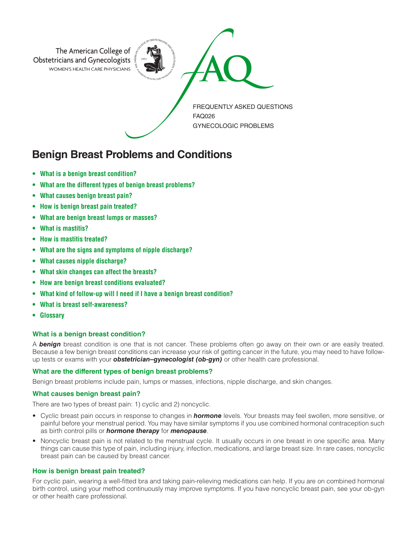

# **Benign Breast Problems and Conditions**

- **• What is a benign breast condition?**
- **• What are the different types of benign breast problems?**
- **• What causes benign breast pain?**
- **• How is benign breast pain treated?**
- **• What are benign breast lumps or masses?**
- **• What is mastitis?**
- **• How is mastitis treated?**
- **• What are the signs and symptoms of nipple discharge?**
- **• What causes nipple discharge?**
- **• What skin changes can affect the breasts?**
- **• How are benign breast conditions evaluated?**
- **• What kind of follow-up will I need if I have a benign breast condition?**
- **• What is breast self-awareness?**
- **Glossary**

## **What is a benign breast condition?**

A *benign* breast condition is one that is not cancer. These problems often go away on their own or are easily treated. Because a few benign breast conditions can increase your risk of getting cancer in the future, you may need to have followup tests or exams with your *obstetrician–gynecologist (ob-gyn)* or other health care professional.

## **What are the different types of benign breast problems?**

Benign breast problems include pain, lumps or masses, infections, nipple discharge, and skin changes.

## **What causes benign breast pain?**

There are two types of breast pain: 1) cyclic and 2) noncyclic.

- Cyclic breast pain occurs in response to changes in *hormone* levels. Your breasts may feel swollen, more sensitive, or painful before your menstrual period. You may have similar symptoms if you use combined hormonal contraception such as birth control pills or *hormone therapy* for *menopause*.
- Noncyclic breast pain is not related to the menstrual cycle. It usually occurs in one breast in one specific area. Many things can cause this type of pain, including injury, infection, medications, and large breast size. In rare cases, noncyclic breast pain can be caused by breast cancer.

## **How is benign breast pain treated?**

For cyclic pain, wearing a well-fitted bra and taking pain-relieving medications can help. If you are on combined hormonal birth control, using your method continuously may improve symptoms. If you have noncyclic breast pain, see your ob-gyn or other health care professional.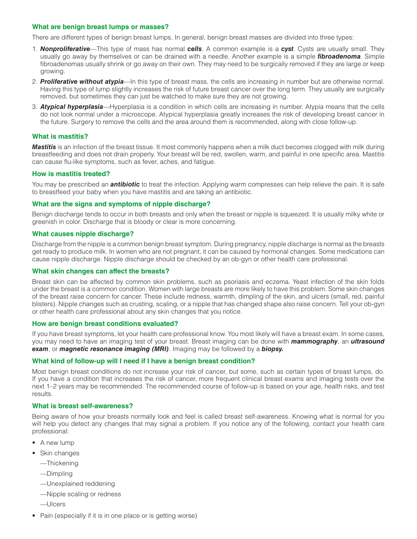## **What are benign breast lumps or masses?**

There are different types of benign breast lumps. In general, benign breast masses are divided into three types:

- 1. *Nonproliferative*—This type of mass has normal *cells*. A common example is a *cyst*. Cysts are usually small. They usually go away by themselves or can be drained with a needle. Another example is a simple *fibroadenoma*. Simple fibroadenomas usually shrink or go away on their own. They may need to be surgically removed if they are large or keep growing.
- 2. *Proliferative without atypia*—In this type of breast mass, the cells are increasing in number but are otherwise normal. Having this type of lump slightly increases the risk of future breast cancer over the long term. They usually are surgically removed, but sometimes they can just be watched to make sure they are not growing.
- 3. *Atypical hyperplasia*—Hyperplasia is a condition in which cells are increasing in number. Atypia means that the cells do not look normal under a microscope. Atypical hyperplasia greatly increases the risk of developing breast cancer in the future. Surgery to remove the cells and the area around them is recommended, along with close follow-up.

## **What is mastitis?**

*Mastitis* is an infection of the breast tissue. It most commonly happens when a milk duct becomes clogged with milk during breastfeeding and does not drain properly. Your breast will be red, swollen, warm, and painful in one specific area. Mastitis can cause flu-like symptoms, such as fever, aches, and fatigue.

#### **How is mastitis treated?**

You may be prescribed an *antibiotic* to treat the infection. Applying warm compresses can help relieve the pain. It is safe to breastfeed your baby when you have mastitis and are taking an antibiotic.

#### **What are the signs and symptoms of nipple discharge?**

Benign discharge tends to occur in both breasts and only when the breast or nipple is squeezed. It is usually milky white or greenish in color. Discharge that is bloody or clear is more concerning.

### **What causes nipple discharge?**

Discharge from the nipple is a common benign breast symptom. During pregnancy, nipple discharge is normal as the breasts get ready to produce milk. In women who are not pregnant, it can be caused by hormonal changes. Some medications can cause nipple discharge. Nipple discharge should be checked by an ob-gyn or other health care professional.

#### **What skin changes can affect the breasts?**

Breast skin can be affected by common skin problems, such as psoriasis and eczema. Yeast infection of the skin folds under the breast is a common condition. Women with large breasts are more likely to have this problem. Some skin changes of the breast raise concern for cancer. These include redness, warmth, dimpling of the skin, and ulcers (small, red, painful blisters). Nipple changes such as crusting, scaling, or a nipple that has changed shape also raise concern. Tell your ob-gyn or other health care professional about any skin changes that you notice.

#### **How are benign breast conditions evaluated?**

If you have breast symptoms, let your health care professional know. You most likely will have a breast exam. In some cases, you may need to have an imaging test of your breast. Breast imaging can be done with *mammography*, an *ultrasound exam*, or *magnetic resonance imaging (MRI)*. Imaging may be followed by a *biopsy.*

#### **What kind of follow-up will I need if I have a benign breast condition?**

Most benign breast conditions do not increase your risk of cancer, but some, such as certain types of breast lumps, do. If you have a condition that increases the risk of cancer, more frequent clinical breast exams and imaging tests over the next 1–2 years may be recommended. The recommended course of follow-up is based on your age, health risks, and test results.

#### **What is breast self-awareness?**

Being aware of how your breasts normally look and feel is called breast self-awareness. Knowing what is normal for you will help you detect any changes that may signal a problem. If you notice any of the following, contact your health care professional:

- A new lump
- Skin changes
	- —Thickening
	- —Dimpling
	- —Unexplained reddening
	- —Nipple scaling or redness
	- —Ulcers
- Pain (especially if it is in one place or is getting worse)